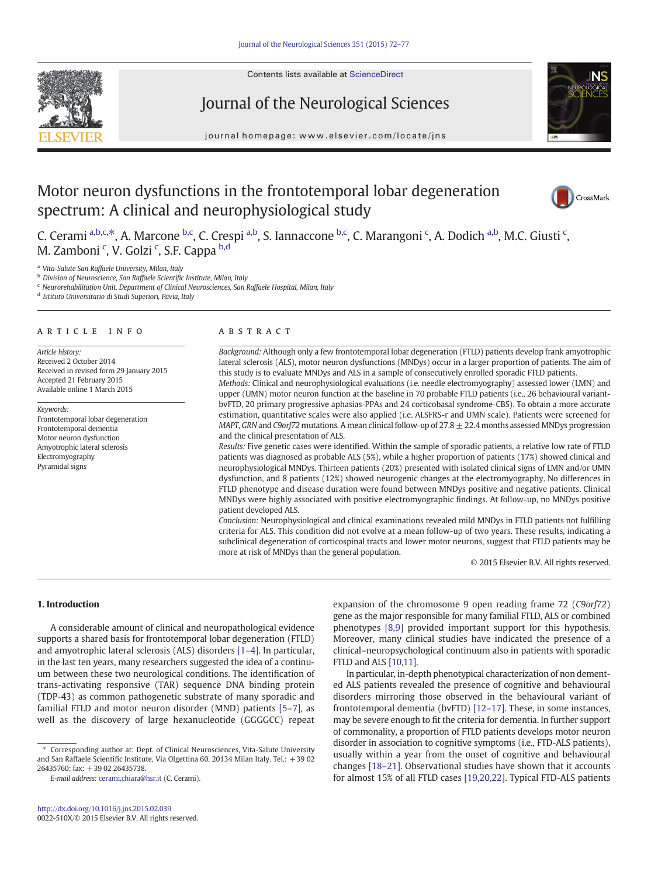Contents lists available at ScienceDirect







journal homepage:<www.elsevier.com/locate/jns>

# Motor neuron dysfunctions in the frontotemporal lobar degeneration spectrum: A clinical and neurophysiological study



C. Cerami a,b,c,\*, A. Marcone b,c, C. Crespi a,b, S. Iannaccone b,c, C. Marangoni <sup>c</sup>, A. Dodich a,b, M.C. Giusti <sup>c</sup>, M. Zamboni <sup>c</sup>, V. Golzi <sup>c</sup>, S.F. Cappa <sup>b,d</sup>

<sup>a</sup> Vita-Salute San Raffaele University, Milan, Italy

**b** Division of Neuroscience, San Raffaele Scientific Institute, Milan, Italy

<sup>c</sup> Neurorehabilitation Unit, Department of Clinical Neurosciences, San Raffaele Hospital, Milan, Italy

<sup>d</sup> Istituto Universitario di Studi Superiori, Pavia, Italy

#### article info abstract

Article history: Received 2 October 2014 Received in revised form 29 January 2015 Accepted 21 February 2015 Available online 1 March 2015

Keywords:

Frontotemporal lobar degeneration Frontotemporal dementia Motor neuron dysfunction Amyotrophic lateral sclerosis Electromyography Pyramidal signs

Background: Although only a few frontotemporal lobar degeneration (FTLD) patients develop frank amyotrophic lateral sclerosis (ALS), motor neuron dysfunctions (MNDys) occur in a larger proportion of patients. The aim of this study is to evaluate MNDys and ALS in a sample of consecutively enrolled sporadic FTLD patients. Methods: Clinical and neurophysiological evaluations (i.e. needle electromyography) assessed lower (LMN) and upper (UMN) motor neuron function at the baseline in 70 probable FTLD patients (i.e., 26 behavioural variantbvFTD, 20 primary progressive aphasias-PPAs and 24 corticobasal syndrome-CBS). To obtain a more accurate

estimation, quantitative scales were also applied (i.e. ALSFRS-r and UMN scale). Patients were screened for MAPT, GRN and C9orf72 mutations. A mean clinical follow-up of  $27.8 \pm 22.4$  months assessed MNDys progression and the clinical presentation of ALS. Results: Five genetic cases were identified. Within the sample of sporadic patients, a relative low rate of FTLD

patients was diagnosed as probable ALS (5%), while a higher proportion of patients (17%) showed clinical and neurophysiological MNDys. Thirteen patients (20%) presented with isolated clinical signs of LMN and/or UMN dysfunction, and 8 patients (12%) showed neurogenic changes at the electromyography. No differences in FTLD phenotype and disease duration were found between MNDys positive and negative patients. Clinical MNDys were highly associated with positive electromyographic findings. At follow-up, no MNDys positive patient developed ALS.

Conclusion: Neurophysiological and clinical examinations revealed mild MNDys in FTLD patients not fulfilling criteria for ALS. This condition did not evolve at a mean follow-up of two years. These results, indicating a subclinical degeneration of corticospinal tracts and lower motor neurons, suggest that FTLD patients may be more at risk of MNDys than the general population.

© 2015 Elsevier B.V. All rights reserved.

### 1. Introduction

A considerable amount of clinical and neuropathological evidence supports a shared basis for frontotemporal lobar degeneration (FTLD) and amyotrophic lateral sclerosis (ALS) disorders [\[1](#page-4-0)–4]. In particular, in the last ten years, many researchers suggested the idea of a continuum between these two neurological conditions. The identification of trans-activating responsive (TAR) sequence DNA binding protein (TDP-43) as common pathogenetic substrate of many sporadic and familial FTLD and motor neuron disorder (MND) patients [\[5](#page-4-0)–7], as well as the discovery of large hexanucleotide (GGGGCC) repeat

expansion of the chromosome 9 open reading frame 72 (C9orf72) gene as the major responsible for many familial FTLD, ALS or combined phenotypes [\[8,9\]](#page-4-0) provided important support for this hypothesis. Moreover, many clinical studies have indicated the presence of a clinical–neuropsychological continuum also in patients with sporadic FTLD and ALS [\[10,11\].](#page-4-0)

In particular, in-depth phenotypical characterization of non demented ALS patients revealed the presence of cognitive and behavioural disorders mirroring those observed in the behavioural variant of frontotemporal dementia (bvFTD) [12–[17\].](#page-4-0) These, in some instances, may be severe enough to fit the criteria for dementia. In further support of commonality, a proportion of FTLD patients develops motor neuron disorder in association to cognitive symptoms (i.e., FTD-ALS patients), usually within a year from the onset of cognitive and behavioural changes [18–[21\].](#page-4-0) Observational studies have shown that it accounts for almost 15% of all FTLD cases [\[19,20,22\]](#page-4-0). Typical FTD-ALS patients

<sup>⁎</sup> Corresponding author at: Dept. of Clinical Neurosciences, Vita-Salute University and San Raffaele Scientific Institute, Via Olgettina 60, 20134 Milan Italy. Tel.: +39 02 26435760; fax: +39 02 26435738.

E-mail address: [cerami.chiara@hsr.it](mailto:cerami.chiara@hsr.it) (C. Cerami).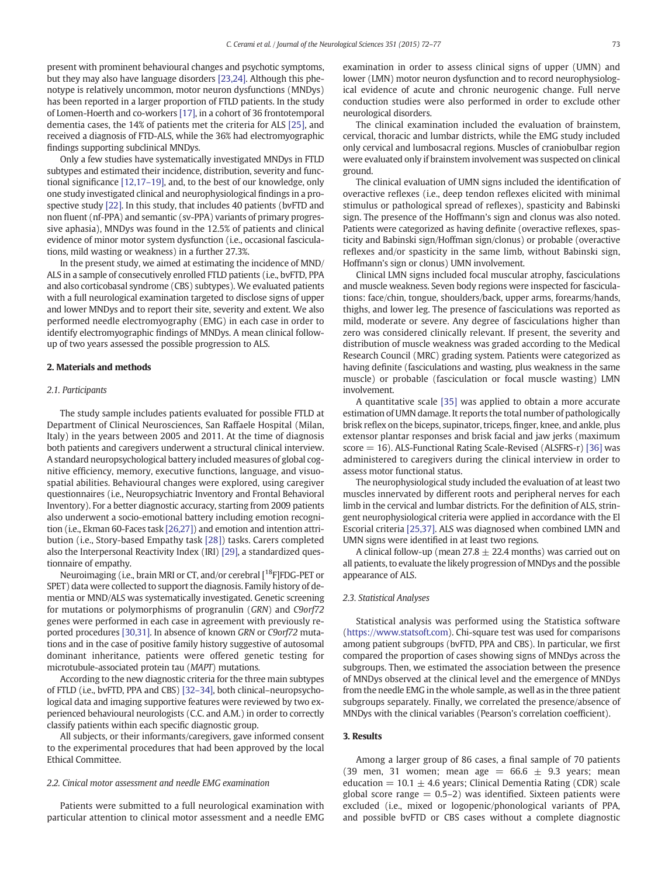present with prominent behavioural changes and psychotic symptoms, but they may also have language disorders [\[23,24\]](#page-4-0). Although this phenotype is relatively uncommon, motor neuron dysfunctions (MNDys) has been reported in a larger proportion of FTLD patients. In the study of Lomen-Hoerth and co-workers [\[17\],](#page-4-0) in a cohort of 36 frontotemporal dementia cases, the 14% of patients met the criteria for ALS [\[25\],](#page-5-0) and received a diagnosis of FTD-ALS, while the 36% had electromyographic findings supporting subclinical MNDys.

Only a few studies have systematically investigated MNDys in FTLD subtypes and estimated their incidence, distribution, severity and functional significance [\[12,17](#page-4-0)–19], and, to the best of our knowledge, only one study investigated clinical and neurophysiological findings in a prospective study [\[22\].](#page-4-0) In this study, that includes 40 patients (bvFTD and non fluent (nf-PPA) and semantic (sv-PPA) variants of primary progressive aphasia), MNDys was found in the 12.5% of patients and clinical evidence of minor motor system dysfunction (i.e., occasional fasciculations, mild wasting or weakness) in a further 27.3%.

In the present study, we aimed at estimating the incidence of MND/ ALS in a sample of consecutively enrolled FTLD patients (i.e., bvFTD, PPA and also corticobasal syndrome (CBS) subtypes). We evaluated patients with a full neurological examination targeted to disclose signs of upper and lower MNDys and to report their site, severity and extent. We also performed needle electromyography (EMG) in each case in order to identify electromyographic findings of MNDys. A mean clinical followup of two years assessed the possible progression to ALS.

### 2. Materials and methods

#### 2.1. Participants

The study sample includes patients evaluated for possible FTLD at Department of Clinical Neurosciences, San Raffaele Hospital (Milan, Italy) in the years between 2005 and 2011. At the time of diagnosis both patients and caregivers underwent a structural clinical interview. A standard neuropsychological battery included measures of global cognitive efficiency, memory, executive functions, language, and visuospatial abilities. Behavioural changes were explored, using caregiver questionnaires (i.e., Neuropsychiatric Inventory and Frontal Behavioral Inventory). For a better diagnostic accuracy, starting from 2009 patients also underwent a socio-emotional battery including emotion recognition (i.e., Ekman 60-Faces task [\[26,27\]\)](#page-5-0) and emotion and intention attribution (i.e., Story-based Empathy task [\[28\]\)](#page-5-0) tasks. Carers completed also the Interpersonal Reactivity Index (IRI) [\[29\]](#page-5-0), a standardized questionnaire of empathy.

Neuroimaging (i.e., brain MRI or CT, and/or cerebral  $[18F]$ FDG-PET or SPET) data were collected to support the diagnosis. Family history of dementia or MND/ALS was systematically investigated. Genetic screening for mutations or polymorphisms of progranulin (GRN) and C9orf72 genes were performed in each case in agreement with previously re-ported procedures [\[30,31\].](#page-5-0) In absence of known GRN or C9orf72 mutations and in the case of positive family history suggestive of autosomal dominant inheritance, patients were offered genetic testing for microtubule-associated protein tau (MAPT) mutations.

According to the new diagnostic criteria for the three main subtypes of FTLD (i.e., bvFTD, PPA and CBS) [32–[34\],](#page-5-0) both clinical–neuropsychological data and imaging supportive features were reviewed by two experienced behavioural neurologists (C.C. and A.M.) in order to correctly classify patients within each specific diagnostic group.

All subjects, or their informants/caregivers, gave informed consent to the experimental procedures that had been approved by the local Ethical Committee.

# 2.2. Cinical motor assessment and needle EMG examination

Patients were submitted to a full neurological examination with particular attention to clinical motor assessment and a needle EMG examination in order to assess clinical signs of upper (UMN) and lower (LMN) motor neuron dysfunction and to record neurophysiological evidence of acute and chronic neurogenic change. Full nerve conduction studies were also performed in order to exclude other neurological disorders.

The clinical examination included the evaluation of brainstem, cervical, thoracic and lumbar districts, while the EMG study included only cervical and lumbosacral regions. Muscles of craniobulbar region were evaluated only if brainstem involvement was suspected on clinical ground.

The clinical evaluation of UMN signs included the identification of overactive reflexes (i.e., deep tendon reflexes elicited with minimal stimulus or pathological spread of reflexes), spasticity and Babinski sign. The presence of the Hoffmann's sign and clonus was also noted. Patients were categorized as having definite (overactive reflexes, spasticity and Babinski sign/Hoffman sign/clonus) or probable (overactive reflexes and/or spasticity in the same limb, without Babinski sign, Hoffmann's sign or clonus) UMN involvement.

Clinical LMN signs included focal muscular atrophy, fasciculations and muscle weakness. Seven body regions were inspected for fasciculations: face/chin, tongue, shoulders/back, upper arms, forearms/hands, thighs, and lower leg. The presence of fasciculations was reported as mild, moderate or severe. Any degree of fasciculations higher than zero was considered clinically relevant. If present, the severity and distribution of muscle weakness was graded according to the Medical Research Council (MRC) grading system. Patients were categorized as having definite (fasciculations and wasting, plus weakness in the same muscle) or probable (fasciculation or focal muscle wasting) LMN involvement.

A quantitative scale [\[35\]](#page-5-0) was applied to obtain a more accurate estimation of UMN damage. It reports the total number of pathologically brisk reflex on the biceps, supinator, triceps, finger, knee, and ankle, plus extensor plantar responses and brisk facial and jaw jerks (maximum  $score = 16$ ). ALS-Functional Rating Scale-Revised (ALSFRS-r) [\[36\]](#page-5-0) was administered to caregivers during the clinical interview in order to assess motor functional status.

The neurophysiological study included the evaluation of at least two muscles innervated by different roots and peripheral nerves for each limb in the cervical and lumbar districts. For the definition of ALS, stringent neurophysiological criteria were applied in accordance with the El Escorial criteria [\[25,37\].](#page-5-0) ALS was diagnosed when combined LMN and UMN signs were identified in at least two regions.

A clinical follow-up (mean  $27.8 \pm 22.4$  months) was carried out on all patients, to evaluate the likely progression of MNDys and the possible appearance of ALS.

#### 2.3. Statistical Analyses

Statistical analysis was performed using the Statistica software [\(https://www.statsoft.com\)](https://www.statsoft.com). Chi-square test was used for comparisons among patient subgroups (bvFTD, PPA and CBS). In particular, we first compared the proportion of cases showing signs of MNDys across the subgroups. Then, we estimated the association between the presence of MNDys observed at the clinical level and the emergence of MNDys from the needle EMG in the whole sample, as well as in the three patient subgroups separately. Finally, we correlated the presence/absence of MNDys with the clinical variables (Pearson's correlation coefficient).

#### 3. Results

Among a larger group of 86 cases, a final sample of 70 patients (39 men, 31 women; mean age  $= 66.6 \pm 9.3$  years; mean education =  $10.1 \pm 4.6$  years; Clinical Dementia Rating (CDR) scale global score range  $= 0.5-2$ ) was identified. Sixteen patients were excluded (i.e., mixed or logopenic/phonological variants of PPA, and possible bvFTD or CBS cases without a complete diagnostic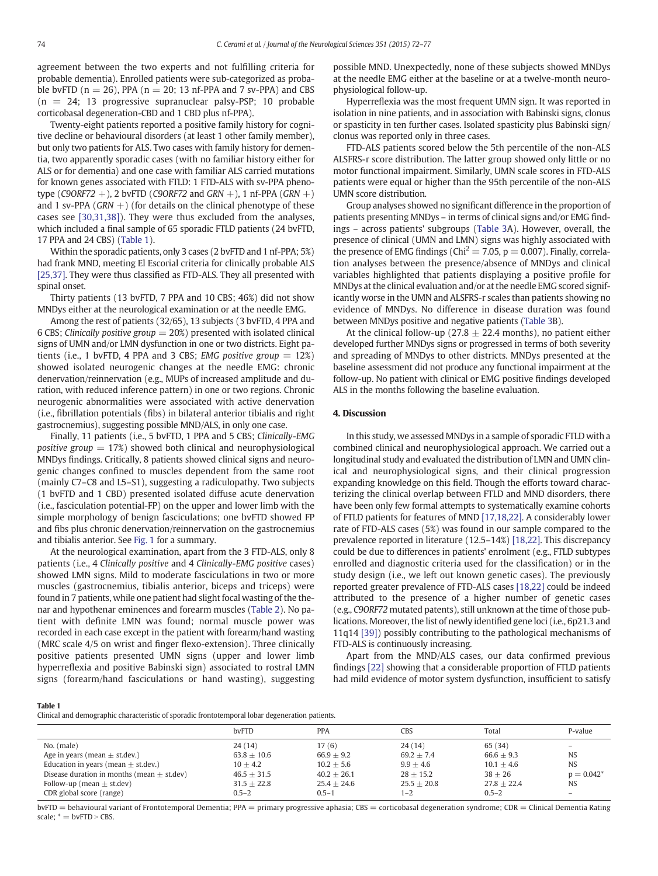agreement between the two experts and not fulfilling criteria for probable dementia). Enrolled patients were sub-categorized as probable bvFTD ( $n = 26$ ), PPA ( $n = 20$ ; 13 nf-PPA and 7 sv-PPA) and CBS  $(n = 24; 13$  progressive supranuclear palsy-PSP; 10 probable corticobasal degeneration-CBD and 1 CBD plus nf-PPA).

Twenty-eight patients reported a positive family history for cognitive decline or behavioural disorders (at least 1 other family member), but only two patients for ALS. Two cases with family history for dementia, two apparently sporadic cases (with no familiar history either for ALS or for dementia) and one case with familiar ALS carried mutations for known genes associated with FTLD: 1 FTD-ALS with sv-PPA phenotype (C9ORF72 +), 2 bvFTD (C9ORF72 and GRN +), 1 nf-PPA (GRN +) and 1 sv-PPA  $(GRN +)$  (for details on the clinical phenotype of these cases see [\[30,31,38\]](#page-5-0)). They were thus excluded from the analyses, which included a final sample of 65 sporadic FTLD patients (24 bvFTD, 17 PPA and 24 CBS) (Table 1).

Within the sporadic patients, only 3 cases (2 bvFTD and 1 nf-PPA; 5%) had frank MND, meeting El Escorial criteria for clinically probable ALS [\[25,37\]](#page-5-0). They were thus classified as FTD-ALS. They all presented with spinal onset.

Thirty patients (13 bvFTD, 7 PPA and 10 CBS; 46%) did not show MNDys either at the neurological examination or at the needle EMG.

Among the rest of patients (32/65), 13 subjects (3 bvFTD, 4 PPA and 6 CBS; Clinically positive group  $= 20\%$ ) presented with isolated clinical signs of UMN and/or LMN dysfunction in one or two districts. Eight patients (i.e., 1 bvFTD, 4 PPA and 3 CBS; EMG positive group  $= 12\%)$ showed isolated neurogenic changes at the needle EMG: chronic denervation/reinnervation (e.g., MUPs of increased amplitude and duration, with reduced inference pattern) in one or two regions. Chronic neurogenic abnormalities were associated with active denervation (i.e., fibrillation potentials (fibs) in bilateral anterior tibialis and right gastrocnemius), suggesting possible MND/ALS, in only one case.

Finally, 11 patients (i.e., 5 bvFTD, 1 PPA and 5 CBS; Clinically-EMG *positive group*  $= 17\%)$  showed both clinical and neurophysiological MNDys findings. Critically, 8 patients showed clinical signs and neurogenic changes confined to muscles dependent from the same root (mainly C7–C8 and L5–S1), suggesting a radiculopathy. Two subjects (1 bvFTD and 1 CBD) presented isolated diffuse acute denervation (i.e., fasciculation potential-FP) on the upper and lower limb with the simple morphology of benign fasciculations; one bvFTD showed FP and fibs plus chronic denervation/reinnervation on the gastrocnemius and tibialis anterior. See [Fig. 1](#page-3-0) for a summary.

At the neurological examination, apart from the 3 FTD-ALS, only 8 patients (i.e., 4 Clinically positive and 4 Clinically-EMG positive cases) showed LMN signs. Mild to moderate fasciculations in two or more muscles (gastrocnemius, tibialis anterior, biceps and triceps) were found in 7 patients, while one patient had slight focal wasting of the thenar and hypothenar eminences and forearm muscles ([Table 2](#page-3-0)). No patient with definite LMN was found; normal muscle power was recorded in each case except in the patient with forearm/hand wasting (MRC scale 4/5 on wrist and finger flexo-extension). Three clinically positive patients presented UMN signs (upper and lower limb hyperreflexia and positive Babinski sign) associated to rostral LMN signs (forearm/hand fasciculations or hand wasting), suggesting possible MND. Unexpectedly, none of these subjects showed MNDys at the needle EMG either at the baseline or at a twelve-month neurophysiological follow-up.

Hyperreflexia was the most frequent UMN sign. It was reported in isolation in nine patients, and in association with Babinski signs, clonus or spasticity in ten further cases. Isolated spasticity plus Babinski sign/ clonus was reported only in three cases.

FTD-ALS patients scored below the 5th percentile of the non-ALS ALSFRS-r score distribution. The latter group showed only little or no motor functional impairment. Similarly, UMN scale scores in FTD-ALS patients were equal or higher than the 95th percentile of the non-ALS UMN score distribution.

Group analyses showed no significant difference in the proportion of patients presenting MNDys – in terms of clinical signs and/or EMG findings – across patients' subgroups ([Table 3](#page-4-0)A). However, overall, the presence of clinical (UMN and LMN) signs was highly associated with the presence of EMG findings ( $Chi^2 = 7.05$ ,  $p = 0.007$ ). Finally, correlation analyses between the presence/absence of MNDys and clinical variables highlighted that patients displaying a positive profile for MNDys at the clinical evaluation and/or at the needle EMG scored significantly worse in the UMN and ALSFRS-r scales than patients showing no evidence of MNDys. No difference in disease duration was found between MNDys positive and negative patients ([Table 3](#page-4-0)B).

At the clinical follow-up (27.8  $\pm$  22.4 months), no patient either developed further MNDys signs or progressed in terms of both severity and spreading of MNDys to other districts. MNDys presented at the baseline assessment did not produce any functional impairment at the follow-up. No patient with clinical or EMG positive findings developed ALS in the months following the baseline evaluation.

### 4. Discussion

In this study, we assessed MNDys in a sample of sporadic FTLD with a combined clinical and neurophysiological approach. We carried out a longitudinal study and evaluated the distribution of LMN and UMN clinical and neurophysiological signs, and their clinical progression expanding knowledge on this field. Though the efforts toward characterizing the clinical overlap between FTLD and MND disorders, there have been only few formal attempts to systematically examine cohorts of FTLD patients for features of MND [\[17,18,22\]](#page-4-0). A considerably lower rate of FTD-ALS cases (5%) was found in our sample compared to the prevalence reported in literature (12.5–14%) [\[18,22\]](#page-4-0). This discrepancy could be due to differences in patients' enrolment (e.g., FTLD subtypes enrolled and diagnostic criteria used for the classification) or in the study design (i.e., we left out known genetic cases). The previously reported greater prevalence of FTD-ALS cases [\[18,22\]](#page-4-0) could be indeed attributed to the presence of a higher number of genetic cases (e.g., C9ORF72 mutated patents), still unknown at the time of those publications. Moreover, the list of newly identified gene loci (i.e., 6p21.3 and 11q14 [\[39\]\)](#page-5-0) possibly contributing to the pathological mechanisms of FTD-ALS is continuously increasing.

Apart from the MND/ALS cases, our data confirmed previous findings [\[22\]](#page-4-0) showing that a considerable proportion of FTLD patients had mild evidence of motor system dysfunction, insufficient to satisfy

### Table 1

Clinical and demographic characteristic of sporadic frontotemporal lobar degeneration patients.

|                                                 | bvFTD         | <b>PPA</b>    | CBS           | Total         | P-value       |
|-------------------------------------------------|---------------|---------------|---------------|---------------|---------------|
| No. (male)                                      | 24(14)        | 17(6)         | 24(14)        | 65 (34)       | -             |
| Age in years (mean $\pm$ st.dev.)               | $63.8 + 10.6$ | $66.9 + 9.2$  | $69.2 + 7.4$  | $66.6 + 9.3$  | <b>NS</b>     |
| Education in years (mean $\pm$ st.dev.)         | $10 + 4.2$    | $10.2 + 5.6$  | $9.9 + 4.6$   | $10.1 + 4.6$  | <b>NS</b>     |
| Disease duration in months (mean $\pm$ st, dev) | $46.5 + 31.5$ | $40.2 + 26.1$ | $28 + 15.2$   | $38 + 26$     | $p = 0.042^*$ |
| Follow-up (mean $\pm$ st.dev)                   | $31.5 + 22.8$ | $25.4 + 24.6$ | $25.5 + 20.8$ | $27.8 + 22.4$ | <b>NS</b>     |
| CDR global score (range)                        | $0.5 - 2$     | $0.5 - 1$     | 1-2           | $0.5 - 2$     | -             |
|                                                 |               |               |               |               |               |

bvFTD = behavioural variant of Frontotemporal Dementia; PPA = primary progressive aphasia; CBS = corticobasal degeneration syndrome; CDR = Clinical Dementia Rating scale:  $* =$  bvFTD > CBS.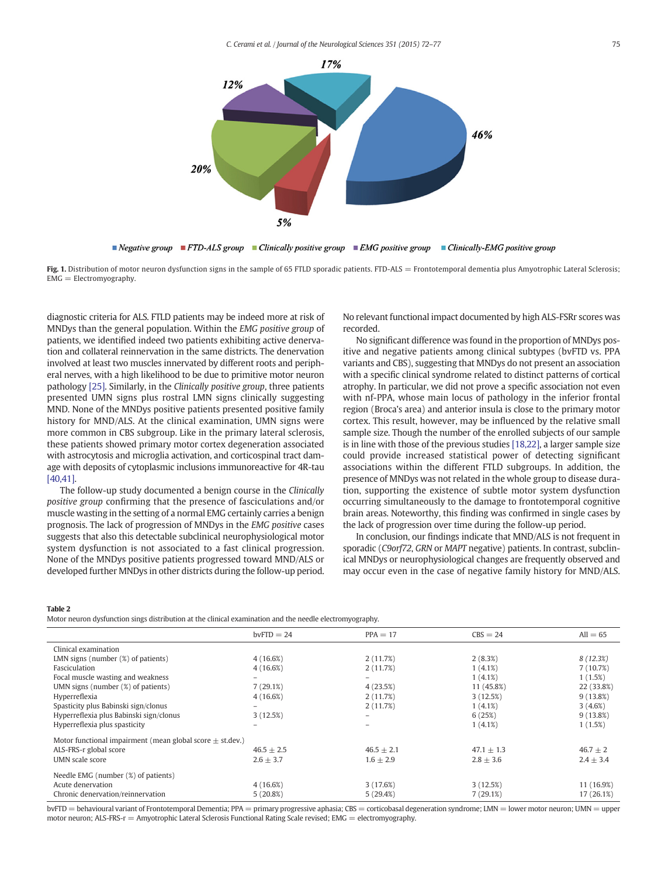<span id="page-3-0"></span>



Fig. 1. Distribution of motor neuron dysfunction signs in the sample of 65 FTLD sporadic patients. FTD-ALS = Frontotemporal dementia plus Amyotrophic Lateral Sclerosis;  $EMG = Electromyography$ .

diagnostic criteria for ALS. FTLD patients may be indeed more at risk of MNDys than the general population. Within the EMG positive group of patients, we identified indeed two patients exhibiting active denervation and collateral reinnervation in the same districts. The denervation involved at least two muscles innervated by different roots and peripheral nerves, with a high likelihood to be due to primitive motor neuron pathology [\[25\].](#page-5-0) Similarly, in the Clinically positive group, three patients presented UMN signs plus rostral LMN signs clinically suggesting MND. None of the MNDys positive patients presented positive family history for MND/ALS. At the clinical examination, UMN signs were more common in CBS subgroup. Like in the primary lateral sclerosis, these patients showed primary motor cortex degeneration associated with astrocytosis and microglia activation, and corticospinal tract damage with deposits of cytoplasmic inclusions immunoreactive for 4R-tau [\[40,41\]](#page-5-0).

The follow-up study documented a benign course in the Clinically positive group confirming that the presence of fasciculations and/or muscle wasting in the setting of a normal EMG certainly carries a benign prognosis. The lack of progression of MNDys in the EMG positive cases suggests that also this detectable subclinical neurophysiological motor system dysfunction is not associated to a fast clinical progression. None of the MNDys positive patients progressed toward MND/ALS or developed further MNDys in other districts during the follow-up period. No relevant functional impact documented by high ALS-FSRr scores was recorded.

No significant difference was found in the proportion of MNDys positive and negative patients among clinical subtypes (bvFTD vs. PPA variants and CBS), suggesting that MNDys do not present an association with a specific clinical syndrome related to distinct patterns of cortical atrophy. In particular, we did not prove a specific association not even with nf-PPA, whose main locus of pathology in the inferior frontal region (Broca's area) and anterior insula is close to the primary motor cortex. This result, however, may be influenced by the relative small sample size. Though the number of the enrolled subjects of our sample is in line with those of the previous studies [\[18,22\]](#page-4-0), a larger sample size could provide increased statistical power of detecting significant associations within the different FTLD subgroups. In addition, the presence of MNDys was not related in the whole group to disease duration, supporting the existence of subtle motor system dysfunction occurring simultaneously to the damage to frontotemporal cognitive brain areas. Noteworthy, this finding was confirmed in single cases by the lack of progression over time during the follow-up period.

In conclusion, our findings indicate that MND/ALS is not frequent in sporadic (C9orf72, GRN or MAPT negative) patients. In contrast, subclinical MNDys or neurophysiological changes are frequently observed and may occur even in the case of negative family history for MND/ALS.

Table 2

Motor neuron dysfunction sings distribution at the clinical examination and the needle electromyography.

|                                                               | $b\nu FTD = 24$ | $PPA = 17$   | $CBS = 24$   | $All = 65$    |
|---------------------------------------------------------------|-----------------|--------------|--------------|---------------|
| Clinical examination                                          |                 |              |              |               |
| LMN signs (number $(\%)$ of patients)                         | 4(16.6%)        | 2(11.7%)     | 2(8.3%)      | 8(12.3%)      |
| Fasciculation                                                 | 4 (16.6%)       | 2(11.7%)     | 1(4.1%)      | 7(10.7%)      |
| Focal muscle wasting and weakness                             |                 |              | 1(4.1%)      | 1(1.5%)       |
| UMN signs (number $(\%)$ of patients)                         | 7(29.1%)        | 4(23.5%)     | 11 (45.8%)   | 22 (33.8%)    |
| Hyperreflexia                                                 | 4(16.6%)        | 2(11.7%)     | 3(12.5%)     | 9(13.8%)      |
| Spasticity plus Babinski sign/clonus                          |                 | 2(11.7%)     | 1(4.1%)      | 3(4.6%)       |
| Hyperreflexia plus Babinski sign/clonus                       | 3(12.5%)        |              | 6(25%)       | 9(13.8%)      |
| Hyperreflexia plus spasticity                                 |                 |              | 1(4.1%)      | 1(1.5%)       |
| Motor functional impairment (mean global score $\pm$ st.dev.) |                 |              |              |               |
| ALS-FRS-r global score                                        | $46.5 + 2.5$    | $46.5 + 2.1$ | $47.1 + 1.3$ | $46.7 \pm 2$  |
| UMN scale score                                               | $2.6 + 3.7$     | $1.6 + 2.9$  | $2.8 + 3.6$  | $2.4 \pm 3.4$ |
| Needle EMG (number (%) of patients)                           |                 |              |              |               |
| Acute denervation                                             | 4(16.6%)        | 3(17.6%)     | 3(12.5%)     | 11 (16.9%)    |
| Chronic denervation/reinnervation                             | $5(20.8\%)$     | 5(29.4%)     | 7(29.1%)     | 17 (26.1%)    |

bvFTD = behavioural variant of Frontotemporal Dementia; PPA = primary progressive aphasia; CBS = corticobasal degeneration syndrome; LMN = lower motor neuron; UMN = upper motor neuron;  $ALS-FRS-r = Amvotrophic$  Lateral Sclerosis Functional Rating Scale revised; EMG = electromyography.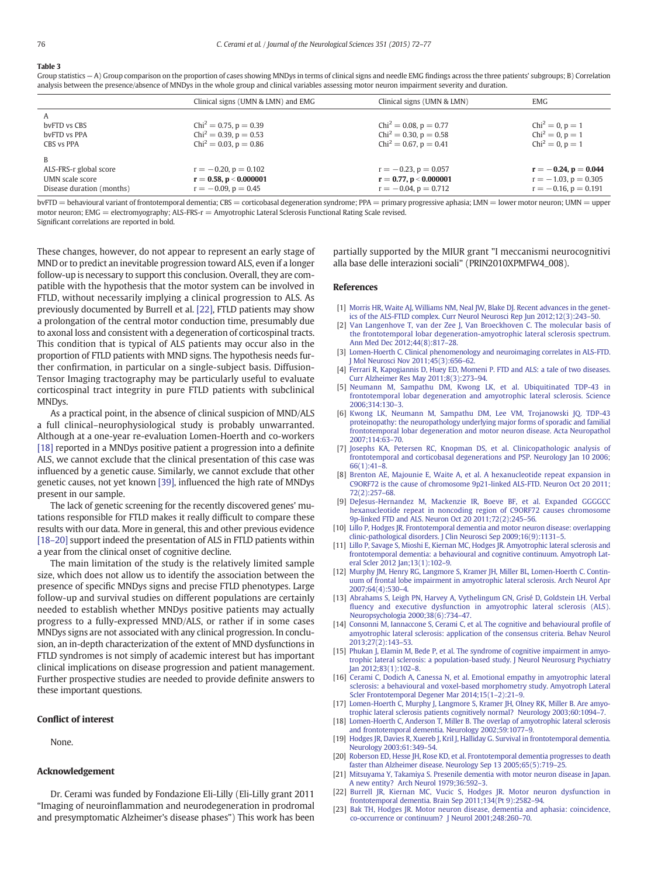# <span id="page-4-0"></span>Table 3

Group statistics — A) Group comparison on the proportion of cases showing MNDys in terms of clinical signs and needle EMG findings across the three patients' subgroups; B) Correlation analysis between the presence/absence of MNDys in the whole group and clinical variables assessing motor neuron impairment severity and duration.

|                                                                             | Clinical signs (UMN & LMN) and EMG                                                      | Clinical signs (UMN & LMN)                                                              | EMG                                                                                 |
|-----------------------------------------------------------------------------|-----------------------------------------------------------------------------------------|-----------------------------------------------------------------------------------------|-------------------------------------------------------------------------------------|
|                                                                             |                                                                                         |                                                                                         |                                                                                     |
| A<br>by FTD vs CBS<br>byFTD vs PPA<br>CBS vs PPA                            | $Chi^2 = 0.75$ , p = 0.39<br>$Chi^2 = 0.39$ , $p = 0.53$<br>$Chi^2 = 0.03$ , $p = 0.86$ | $Chi^2 = 0.08$ , p = 0.77<br>$Chi^2 = 0.30$ , $p = 0.58$<br>$Chi^2 = 0.67$ , $p = 0.41$ | $Chi^2 = 0, p = 1$<br>$Chi^2 = 0, p = 1$<br>$Chi^2 = 0, p = 1$                      |
| B<br>ALS-FRS-r global score<br>UMN scale score<br>Disease duration (months) | $r = -0.20$ , $p = 0.102$<br>$r = 0.58$ , p < 0.000001<br>$r = -0.09$ , $p = 0.45$      | $r = -0.23$ , $p = 0.057$<br>$r = 0.77$ , p < 0.000001<br>$r = -0.04$ , $p = 0.712$     | $r = -0.24$ , $p = 0.044$<br>$r = -1.03$ , $p = 0.305$<br>$r = -0.16$ , $p = 0.191$ |

bvFTD = behavioural variant of frontotemporal dementia; CBS = corticobasal degeneration syndrome; PPA = primary progressive aphasia; LMN = lower motor neuron; UMN = upper motor neuron; EMG = electromyography; ALS-FRS-r = Amyotrophic Lateral Sclerosis Functional Rating Scale revised.

Significant correlations are reported in bold.

These changes, however, do not appear to represent an early stage of MND or to predict an inevitable progression toward ALS, even if a longer follow-up is necessary to support this conclusion. Overall, they are compatible with the hypothesis that the motor system can be involved in FTLD, without necessarily implying a clinical progression to ALS. As previously documented by Burrell et al. [22], FTLD patients may show a prolongation of the central motor conduction time, presumably due to axonal loss and consistent with a degeneration of corticospinal tracts. This condition that is typical of ALS patients may occur also in the proportion of FTLD patients with MND signs. The hypothesis needs further confirmation, in particular on a single-subject basis. Diffusion-Tensor Imaging tractography may be particularly useful to evaluate corticospinal tract integrity in pure FTLD patients with subclinical MNDys.

As a practical point, in the absence of clinical suspicion of MND/ALS a full clinical–neurophysiological study is probably unwarranted. Although at a one-year re-evaluation Lomen-Hoerth and co-workers [18] reported in a MNDys positive patient a progression into a definite ALS, we cannot exclude that the clinical presentation of this case was influenced by a genetic cause. Similarly, we cannot exclude that other genetic causes, not yet known [\[39\],](#page-5-0) influenced the high rate of MNDys present in our sample.

The lack of genetic screening for the recently discovered genes' mutations responsible for FTLD makes it really difficult to compare these results with our data. More in general, this and other previous evidence [18–20] support indeed the presentation of ALS in FTLD patients within a year from the clinical onset of cognitive decline.

The main limitation of the study is the relatively limited sample size, which does not allow us to identify the association between the presence of specific MNDys signs and precise FTLD phenotypes. Large follow-up and survival studies on different populations are certainly needed to establish whether MNDys positive patients may actually progress to a fully-expressed MND/ALS, or rather if in some cases MNDys signs are not associated with any clinical progression. In conclusion, an in-depth characterization of the extent of MND dysfunctions in FTLD syndromes is not simply of academic interest but has important clinical implications on disease progression and patient management. Further prospective studies are needed to provide definite answers to these important questions.

# Conflict of interest

None.

#### Acknowledgement

Dr. Cerami was funded by Fondazione Eli-Lilly (Eli-Lilly grant 2011 "Imaging of neuroinflammation and neurodegeneration in prodromal and presymptomatic Alzheimer's disease phases") This work has been partially supported by the MIUR grant "I meccanismi neurocognitivi alla base delle interazioni sociali" (PRIN2010XPMFW4\_008).

#### References

- [1] [Morris HR, Waite AJ, Williams NM, Neal JW, Blake DJ. Recent advances in the genet](http://refhub.elsevier.com/S0022-510X(15)00106-9/rf0005)[ics of the ALS-FTLD complex. Curr Neurol Neurosci Rep Jun 2012;12\(3\):243](http://refhub.elsevier.com/S0022-510X(15)00106-9/rf0005)-50.
- [2] [Van Langenhove T, van der Zee J, Van Broeckhoven C. The molecular basis of](http://refhub.elsevier.com/S0022-510X(15)00106-9/rf0010) [the frontotemporal lobar degeneration-amyotrophic lateral sclerosis spectrum.](http://refhub.elsevier.com/S0022-510X(15)00106-9/rf0010) [Ann Med Dec 2012;44\(8\):817](http://refhub.elsevier.com/S0022-510X(15)00106-9/rf0010)–28.
- [3] [Lomen-Hoerth C. Clinical phenomenology and neuroimaging correlates in ALS-FTD.](http://refhub.elsevier.com/S0022-510X(15)00106-9/rf0015) [J Mol Neurosci Nov 2011;45\(3\):656](http://refhub.elsevier.com/S0022-510X(15)00106-9/rf0015)–62.
- [4] [Ferrari R, Kapogiannis D, Huey ED, Momeni P. FTD and ALS: a tale of two diseases.](http://refhub.elsevier.com/S0022-510X(15)00106-9/rf0020) [Curr Alzheimer Res May 2011;8\(3\):273](http://refhub.elsevier.com/S0022-510X(15)00106-9/rf0020)–94.
- [5] [Neumann M, Sampathu DM, Kwong LK, et al. Ubiquitinated TDP-43 in](http://refhub.elsevier.com/S0022-510X(15)00106-9/rf0025) [frontotemporal lobar degeneration and amyotrophic lateral sclerosis. Science](http://refhub.elsevier.com/S0022-510X(15)00106-9/rf0025) [2006;314:130](http://refhub.elsevier.com/S0022-510X(15)00106-9/rf0025)–3.
- [6] [Kwong LK, Neumann M, Sampathu DM, Lee VM, Trojanowski JQ. TDP-43](http://refhub.elsevier.com/S0022-510X(15)00106-9/rf0030) [proteinopathy: the neuropathology underlying major forms of sporadic and familial](http://refhub.elsevier.com/S0022-510X(15)00106-9/rf0030) [frontotemporal lobar degeneration and motor neuron disease. Acta Neuropathol](http://refhub.elsevier.com/S0022-510X(15)00106-9/rf0030) [2007;114:63](http://refhub.elsevier.com/S0022-510X(15)00106-9/rf0030)–70.
- [7] [Josephs KA, Petersen RC, Knopman DS, et al. Clinicopathologic analysis of](http://refhub.elsevier.com/S0022-510X(15)00106-9/rf0035) [frontotemporal and corticobasal degenerations and PSP. Neurology Jan 10 2006;](http://refhub.elsevier.com/S0022-510X(15)00106-9/rf0035) [66\(1\):41](http://refhub.elsevier.com/S0022-510X(15)00106-9/rf0035)–8.
- [Brenton AE, Majounie E, Waite A, et al. A hexanucleotide repeat expansion in](http://refhub.elsevier.com/S0022-510X(15)00106-9/rf0040) [C9ORF72 is the cause of chromosome 9p21-linked ALS-FTD. Neuron Oct 20 2011;](http://refhub.elsevier.com/S0022-510X(15)00106-9/rf0040) [72\(2\):257](http://refhub.elsevier.com/S0022-510X(15)00106-9/rf0040)–68.
- [9] [DeJesus-Hernandez M, Mackenzie IR, Boeve BF, et al. Expanded GGGGCC](http://refhub.elsevier.com/S0022-510X(15)00106-9/rf0045) [hexanucleotide repeat in noncoding region of C9ORF72 causes chromosome](http://refhub.elsevier.com/S0022-510X(15)00106-9/rf0045) [9p-linked FTD and ALS. Neuron Oct 20 2011;72\(2\):245](http://refhub.elsevier.com/S0022-510X(15)00106-9/rf0045)–56.
- [10] [Lillo P, Hodges JR. Frontotemporal dementia and motor neuron disease: overlapping](http://refhub.elsevier.com/S0022-510X(15)00106-9/rf0050) [clinic-pathological disorders. J Clin Neurosci Sep 2009;16\(9\):1131](http://refhub.elsevier.com/S0022-510X(15)00106-9/rf0050)–5.
- [Lillo P, Savage S, Mioshi E, Kiernan MC, Hodges JR. Amyotrophic lateral sclerosis and](http://refhub.elsevier.com/S0022-510X(15)00106-9/rf0055) [frontotemporal dementia: a behavioural and cognitive continuum. Amyotroph Lat](http://refhub.elsevier.com/S0022-510X(15)00106-9/rf0055)[eral Scler 2012 Jan;13\(1\):102](http://refhub.elsevier.com/S0022-510X(15)00106-9/rf0055)–9.
- [12] [Murphy JM, Henry RG, Langmore S, Kramer JH, Miller BL, Lomen-Hoerth C. Contin](http://refhub.elsevier.com/S0022-510X(15)00106-9/rf0060)[uum of frontal lobe impairment in amyotrophic lateral sclerosis. Arch Neurol Apr](http://refhub.elsevier.com/S0022-510X(15)00106-9/rf0060) [2007;64\(4\):530](http://refhub.elsevier.com/S0022-510X(15)00106-9/rf0060)–4.
- [13] [Abrahams S, Leigh PN, Harvey A, Vythelingum GN, Grisé D, Goldstein LH. Verbal](http://refhub.elsevier.com/S0022-510X(15)00106-9/rf0065) fl[uency and executive dysfunction in amyotrophic lateral sclerosis \(ALS\).](http://refhub.elsevier.com/S0022-510X(15)00106-9/rf0065) [Neuropsychologia 2000;38\(6\):734](http://refhub.elsevier.com/S0022-510X(15)00106-9/rf0065)–47.
- [14] [Consonni M, Iannaccone S, Cerami C, et al. The cognitive and behavioural pro](http://refhub.elsevier.com/S0022-510X(15)00106-9/rf0070)file of [amyotrophic lateral sclerosis: application of the consensus criteria. Behav Neurol](http://refhub.elsevier.com/S0022-510X(15)00106-9/rf0070) [2013;27\(2\):143](http://refhub.elsevier.com/S0022-510X(15)00106-9/rf0070)–53.
- [15] [Phukan J, Elamin M, Bede P, et al. The syndrome of cognitive impairment in amyo](http://refhub.elsevier.com/S0022-510X(15)00106-9/rf0075)[trophic lateral sclerosis: a population-based study. J Neurol Neurosurg Psychiatry](http://refhub.elsevier.com/S0022-510X(15)00106-9/rf0075) [Jan 2012;83\(1\):102](http://refhub.elsevier.com/S0022-510X(15)00106-9/rf0075)–8.
- [16] [Cerami C, Dodich A, Canessa N, et al. Emotional empathy in amyotrophic lateral](http://refhub.elsevier.com/S0022-510X(15)00106-9/rf0080) [sclerosis: a behavioural and voxel-based morphometry study. Amyotroph Lateral](http://refhub.elsevier.com/S0022-510X(15)00106-9/rf0080) [Scler Frontotemporal Degener Mar 2014;15\(1](http://refhub.elsevier.com/S0022-510X(15)00106-9/rf0080)–2):21–9.
- [17] [Lomen-Hoerth C, Murphy J, Langmore S, Kramer JH, Olney RK, Miller B. Are amyo](http://refhub.elsevier.com/S0022-510X(15)00106-9/rf0085)[trophic lateral sclerosis patients cognitively normal? Neurology 2003;60:1094](http://refhub.elsevier.com/S0022-510X(15)00106-9/rf0085)–7.
- [18] [Lomen-Hoerth C, Anderson T, Miller B. The overlap of amyotrophic lateral sclerosis](http://refhub.elsevier.com/S0022-510X(15)00106-9/rf0090) [and frontotemporal dementia. Neurology 2002;59:1077](http://refhub.elsevier.com/S0022-510X(15)00106-9/rf0090)–9.
- [19] [Hodges JR, Davies R, Xuereb J, Kril J, Halliday G. Survival in frontotemporal dementia.](http://refhub.elsevier.com/S0022-510X(15)00106-9/rf0095) [Neurology 2003;61:349](http://refhub.elsevier.com/S0022-510X(15)00106-9/rf0095)–54.
- [20] [Roberson ED, Hesse JH, Rose KD, et al. Frontotemporal dementia progresses to death](http://refhub.elsevier.com/S0022-510X(15)00106-9/rf0100) [faster than Alzheimer disease. Neurology Sep 13 2005;65\(5\):719](http://refhub.elsevier.com/S0022-510X(15)00106-9/rf0100)–25.
- [21] [Mitsuyama Y, Takamiya S. Presenile dementia with motor neuron disease in Japan.](http://refhub.elsevier.com/S0022-510X(15)00106-9/rf0105) [A new entity? Arch Neurol 1979;36:592](http://refhub.elsevier.com/S0022-510X(15)00106-9/rf0105)–3.
- [22] [Burrell JR, Kiernan MC, Vucic S, Hodges JR. Motor neuron dysfunction in](http://refhub.elsevier.com/S0022-510X(15)00106-9/rf0110) [frontotemporal dementia. Brain Sep 2011;134\(Pt 9\):2582](http://refhub.elsevier.com/S0022-510X(15)00106-9/rf0110)–94.
- [23] [Bak TH, Hodges JR. Motor neuron disease, dementia and aphasia: coincidence,](http://refhub.elsevier.com/S0022-510X(15)00106-9/rf0115) [co-occurrence or continuum? J Neurol 2001;248:260](http://refhub.elsevier.com/S0022-510X(15)00106-9/rf0115)–70.